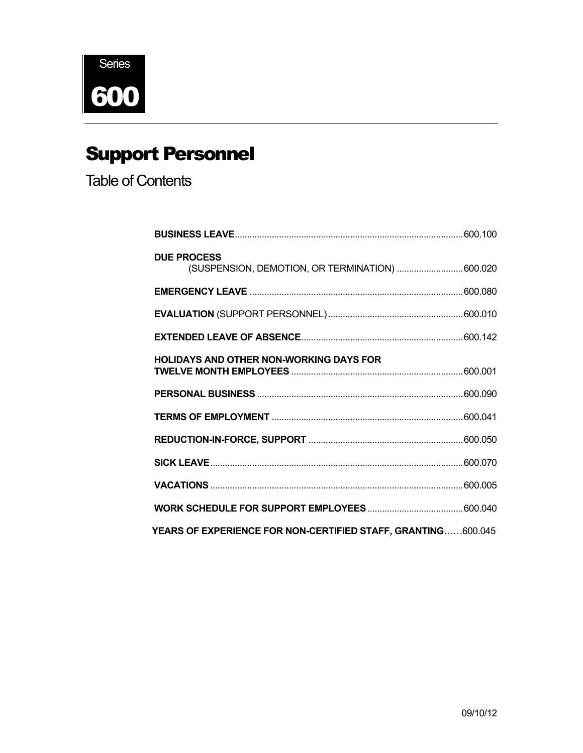

# Support Personnel

Table of Contents

| <b>DUE PROCESS</b><br>(SUSPENSION, DEMOTION, OR TERMINATION) 600.020 |  |
|----------------------------------------------------------------------|--|
|                                                                      |  |
|                                                                      |  |
|                                                                      |  |
| <b>HOLIDAYS AND OTHER NON-WORKING DAYS FOR</b>                       |  |
|                                                                      |  |
|                                                                      |  |
|                                                                      |  |
|                                                                      |  |
|                                                                      |  |
|                                                                      |  |
| YEARS OF EXPERIENCE FOR NON-CERTIFIED STAFF, GRANTING600.045         |  |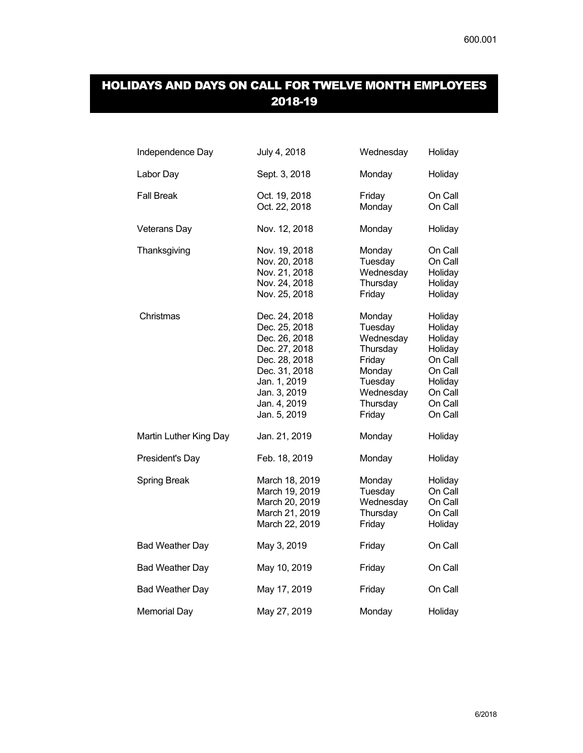# HOLIDAYS AND DAYS ON CALL FOR TWELVE MONTH EMPLOYEES 2018-19

| Independence Day       | July 4, 2018                                                                                                                                                       | Wednesday                                                                                                    | Holiday                                                                                                    |
|------------------------|--------------------------------------------------------------------------------------------------------------------------------------------------------------------|--------------------------------------------------------------------------------------------------------------|------------------------------------------------------------------------------------------------------------|
| Labor Day              | Sept. 3, 2018                                                                                                                                                      | Monday                                                                                                       | Holiday                                                                                                    |
| <b>Fall Break</b>      | Oct. 19, 2018<br>Oct. 22, 2018                                                                                                                                     | Friday<br>Monday                                                                                             | On Call<br>On Call                                                                                         |
| <b>Veterans Day</b>    | Nov. 12, 2018                                                                                                                                                      | Monday                                                                                                       | Holiday                                                                                                    |
| Thanksgiving           | Nov. 19, 2018<br>Nov. 20, 2018<br>Nov. 21, 2018<br>Nov. 24, 2018<br>Nov. 25, 2018                                                                                  | Monday<br>Tuesday<br>Wednesday<br>Thursday<br>Friday                                                         | On Call<br>On Call<br>Holiday<br>Holiday<br>Holiday                                                        |
| Christmas              | Dec. 24, 2018<br>Dec. 25, 2018<br>Dec. 26, 2018<br>Dec. 27, 2018<br>Dec. 28, 2018<br>Dec. 31, 2018<br>Jan. 1, 2019<br>Jan. 3, 2019<br>Jan. 4, 2019<br>Jan. 5, 2019 | Monday<br>Tuesday<br>Wednesday<br>Thursday<br>Friday<br>Monday<br>Tuesday<br>Wednesday<br>Thursday<br>Friday | Holiday<br>Holiday<br>Holiday<br>Holiday<br>On Call<br>On Call<br>Holiday<br>On Call<br>On Call<br>On Call |
| Martin Luther King Day | Jan. 21, 2019                                                                                                                                                      | Monday                                                                                                       | Holiday                                                                                                    |
| President's Day        | Feb. 18, 2019                                                                                                                                                      | Monday                                                                                                       | Holiday                                                                                                    |
| <b>Spring Break</b>    | March 18, 2019<br>March 19, 2019<br>March 20, 2019<br>March 21, 2019<br>March 22, 2019                                                                             | Monday<br>Tuesday<br>Wednesday<br>Thursday<br>Friday                                                         | Holiday<br>On Call<br>On Call<br>On Call<br>Holiday                                                        |
| <b>Bad Weather Day</b> | May 3, 2019                                                                                                                                                        | Friday                                                                                                       | On Call                                                                                                    |
| <b>Bad Weather Day</b> | May 10, 2019                                                                                                                                                       | Friday                                                                                                       | On Call                                                                                                    |
| <b>Bad Weather Day</b> | May 17, 2019                                                                                                                                                       | Friday                                                                                                       | On Call                                                                                                    |
| <b>Memorial Day</b>    | May 27, 2019                                                                                                                                                       | Monday                                                                                                       | Holiday                                                                                                    |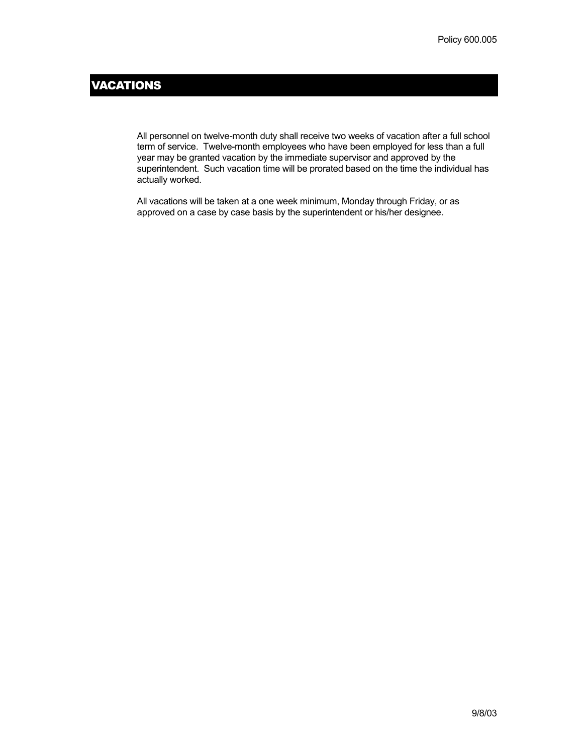# VACATIONS

All personnel on twelve-month duty shall receive two weeks of vacation after a full school term of service. Twelve-month employees who have been employed for less than a full year may be granted vacation by the immediate supervisor and approved by the superintendent. Such vacation time will be prorated based on the time the individual has actually worked.

All vacations will be taken at a one week minimum, Monday through Friday, or as approved on a case by case basis by the superintendent or his/her designee.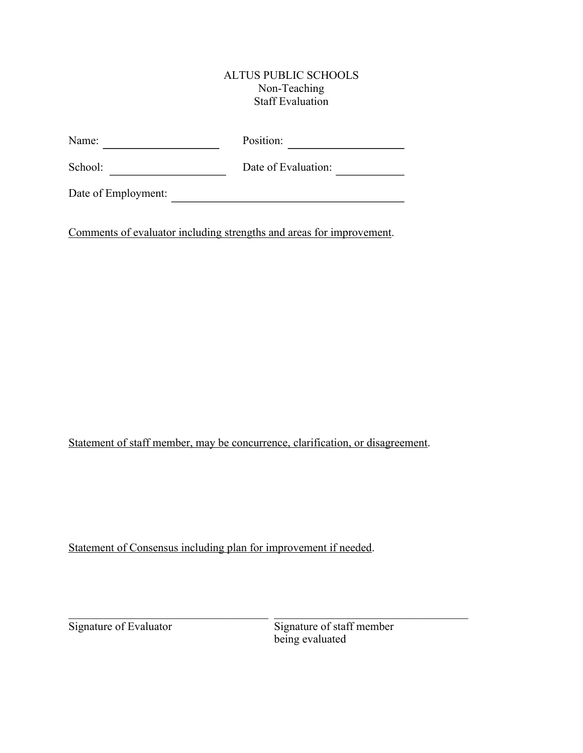### ALTUS PUBLIC SCHOOLS Non-Teaching Staff Evaluation

| Name:               | Position:           |
|---------------------|---------------------|
| School:             | Date of Evaluation: |
| Date of Employment: |                     |

Comments of evaluator including strengths and areas for improvement.

Statement of staff member, may be concurrence, clarification, or disagreement.

Statement of Consensus including plan for improvement if needed.

Signature of Evaluator Signature of staff member being evaluated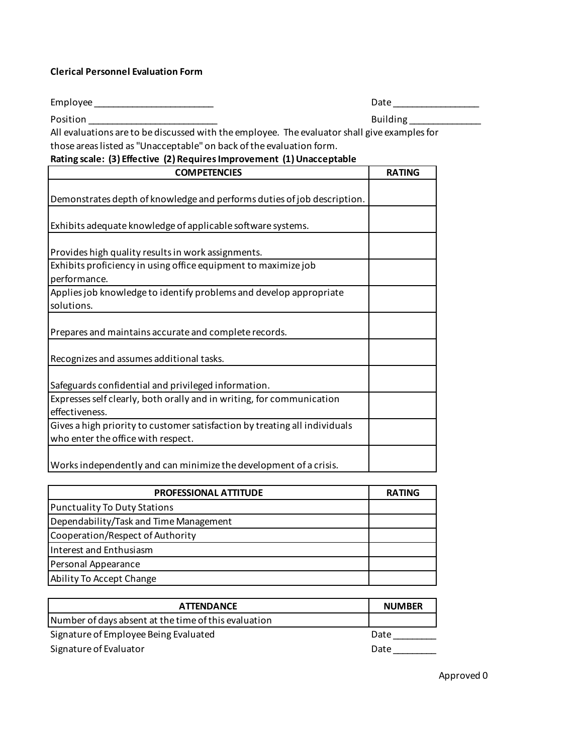### **Clerical Personnel Evaluation Form**

Employee \_\_\_\_\_\_\_\_\_\_\_\_\_\_\_\_\_\_\_\_\_\_\_\_\_ Date \_\_\_\_\_\_\_\_\_\_\_\_\_\_\_\_\_\_

Position \_\_\_\_\_\_\_\_\_\_\_\_\_\_\_\_\_\_\_\_\_\_\_\_\_\_\_ Building \_\_\_\_\_\_\_\_\_\_\_\_\_\_\_

All evaluations are to be discussed with the employee. The evaluator shall give examples for those areas listed as "Unacceptable" on back of the evaluation form.

**Rating scale: (3) Effective (2) Requires Improvement (1) Unacceptable**

| <b>COMPETENCIES</b>                                                        | <b>RATING</b> |
|----------------------------------------------------------------------------|---------------|
| Demonstrates depth of knowledge and performs duties of job description.    |               |
|                                                                            |               |
| Exhibits adequate knowledge of applicable software systems.                |               |
|                                                                            |               |
| Provides high quality results in work assignments.                         |               |
| Exhibits proficiency in using office equipment to maximize job             |               |
| performance.                                                               |               |
| Applies job knowledge to identify problems and develop appropriate         |               |
| solutions.                                                                 |               |
|                                                                            |               |
| Prepares and maintains accurate and complete records.                      |               |
|                                                                            |               |
| Recognizes and assumes additional tasks.                                   |               |
|                                                                            |               |
| Safeguards confidential and privileged information.                        |               |
| Expresses self clearly, both orally and in writing, for communication      |               |
| effectiveness.                                                             |               |
| Gives a high priority to customer satisfaction by treating all individuals |               |
| who enter the office with respect.                                         |               |
|                                                                            |               |
| Works independently and can minimize the development of a crisis.          |               |

| <b>PROFESSIONAL ATTITUDE</b>           | <b>RATING</b> |
|----------------------------------------|---------------|
| <b>Punctuality To Duty Stations</b>    |               |
| Dependability/Task and Time Management |               |
| Cooperation/Respect of Authority       |               |
| Interest and Enthusiasm                |               |
| Personal Appearance                    |               |
| Ability To Accept Change               |               |

| <b>ATTENDANCE</b>                                    | <b>NUMBER</b> |
|------------------------------------------------------|---------------|
| Number of days absent at the time of this evaluation |               |
| Signature of Employee Being Evaluated                | Date          |
| Signature of Evaluator                               | Date          |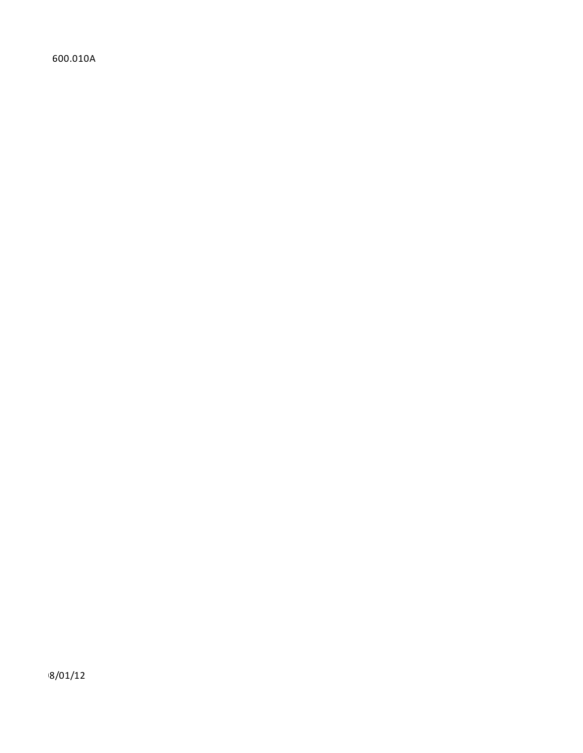600.010A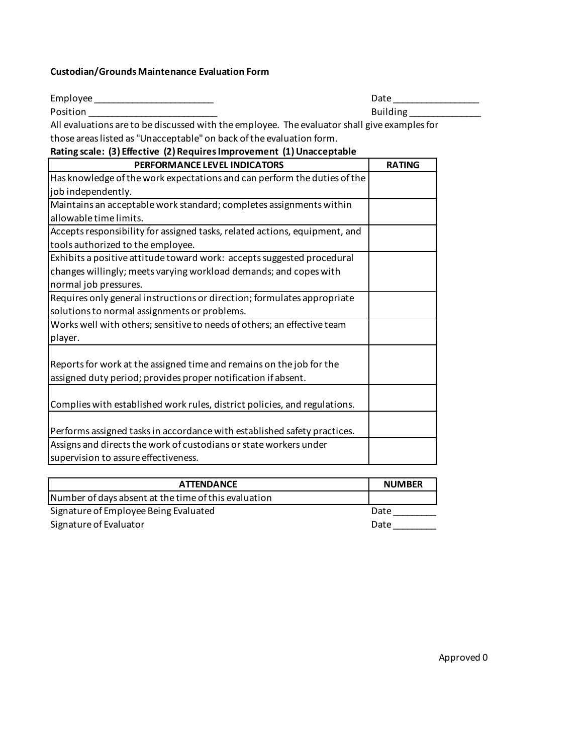### **Custodian/Grounds Maintenance Evaluation Form**

| Employee | Date            |
|----------|-----------------|
| Position | <b>Building</b> |
| ___      |                 |

All evaluations are to be discussed with the employee. The evaluator shall give examples for those areas listed as "Unacceptable" on back of the evaluation form.

**Rating scale: (3) Effective (2) Requires Improvement (1) Unacceptable**

| PERFORMANCE LEVEL INDICATORS                                               | <b>RATING</b> |
|----------------------------------------------------------------------------|---------------|
| Has knowledge of the work expectations and can perform the duties of the   |               |
| job independently.                                                         |               |
| Maintains an acceptable work standard; completes assignments within        |               |
| allowable time limits.                                                     |               |
| Accepts responsibility for assigned tasks, related actions, equipment, and |               |
| tools authorized to the employee.                                          |               |
| Exhibits a positive attitude toward work: accepts suggested procedural     |               |
| changes willingly; meets varying workload demands; and copes with          |               |
| normal job pressures.                                                      |               |
| Requires only general instructions or direction; formulates appropriate    |               |
| solutions to normal assignments or problems.                               |               |
| Works well with others; sensitive to needs of others; an effective team    |               |
| player.                                                                    |               |
|                                                                            |               |
| Reports for work at the assigned time and remains on the job for the       |               |
| assigned duty period; provides proper notification if absent.              |               |
|                                                                            |               |
| Complies with established work rules, district policies, and regulations.  |               |
|                                                                            |               |
| Performs assigned tasks in accordance with established safety practices.   |               |
| Assigns and directs the work of custodians or state workers under          |               |
| supervision to assure effectiveness.                                       |               |

| <b>ATTENDANCE</b>                                    | <b>NUMBER</b> |
|------------------------------------------------------|---------------|
| Number of days absent at the time of this evaluation |               |
| Signature of Employee Being Evaluated                | Date          |
| Signature of Evaluator                               | Date          |

Approved 0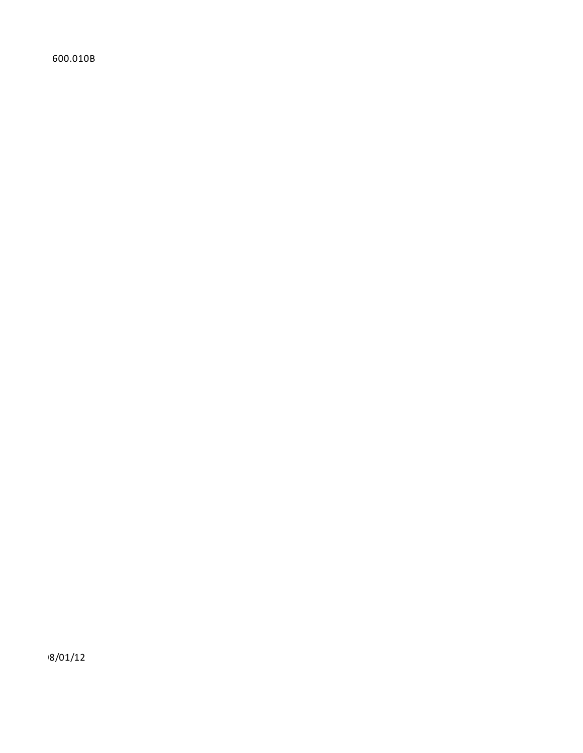600.010B

 $8/01/12$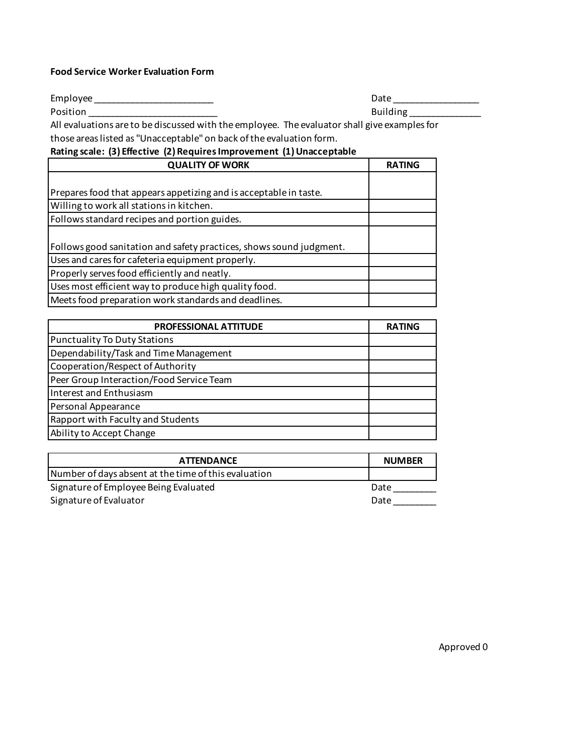### **Food Service Worker Evaluation Form**

Employee \_\_\_\_\_\_\_\_\_\_\_\_\_\_\_\_\_\_\_\_\_\_\_\_\_ Date \_\_\_\_\_\_\_\_\_\_\_\_\_\_\_\_\_\_

Position \_\_\_\_\_\_\_\_\_\_\_\_\_\_\_\_\_\_\_\_\_\_\_\_\_\_\_ Building \_\_\_\_\_\_\_\_\_\_\_\_\_\_\_

All evaluations are to be discussed with the employee. The evaluator shall give examples for those areas listed as "Unacceptable" on back of the evaluation form.

**Rating scale: (3) Effective (2) Requires Improvement (1) Unacceptable**

| <b>QUALITY OF WORK</b>                                              | <b>RATING</b> |
|---------------------------------------------------------------------|---------------|
|                                                                     |               |
| Prepares food that appears appetizing and is acceptable in taste.   |               |
| Willing to work all stations in kitchen.                            |               |
| Follows standard recipes and portion guides.                        |               |
|                                                                     |               |
| Follows good sanitation and safety practices, shows sound judgment. |               |
| Uses and cares for cafeteria equipment properly.                    |               |
| Properly serves food efficiently and neatly.                        |               |
| Uses most efficient way to produce high quality food.               |               |
| Meets food preparation work standards and deadlines.                |               |

| PROFESSIONAL ATTITUDE                    | <b>RATING</b> |
|------------------------------------------|---------------|
| <b>Punctuality To Duty Stations</b>      |               |
| Dependability/Task and Time Management   |               |
| Cooperation/Respect of Authority         |               |
| Peer Group Interaction/Food Service Team |               |
| Interest and Enthusiasm                  |               |
| Personal Appearance                      |               |
| Rapport with Faculty and Students        |               |
| Ability to Accept Change                 |               |

| <b>ATTENDANCE</b>                                    | <b>NUMBER</b> |
|------------------------------------------------------|---------------|
| Number of days absent at the time of this evaluation |               |
| Signature of Employee Being Evaluated                | Date          |
| Signature of Evaluator                               | Date          |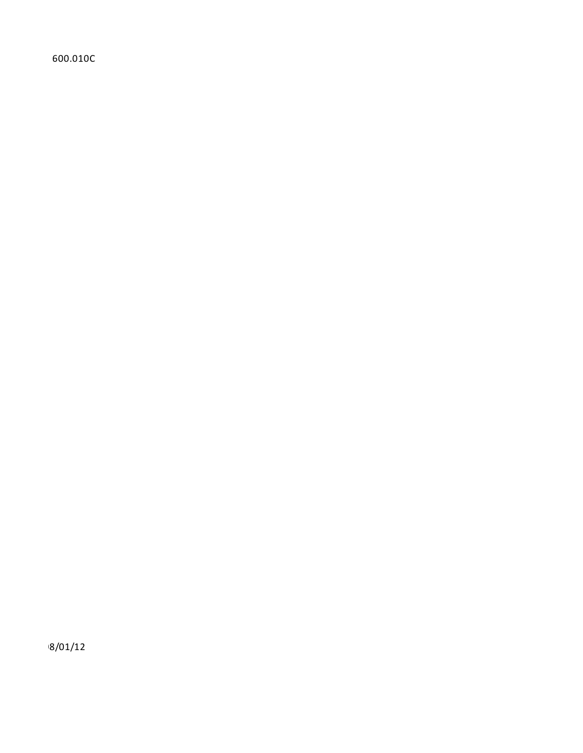600.010C

 $8/01/12$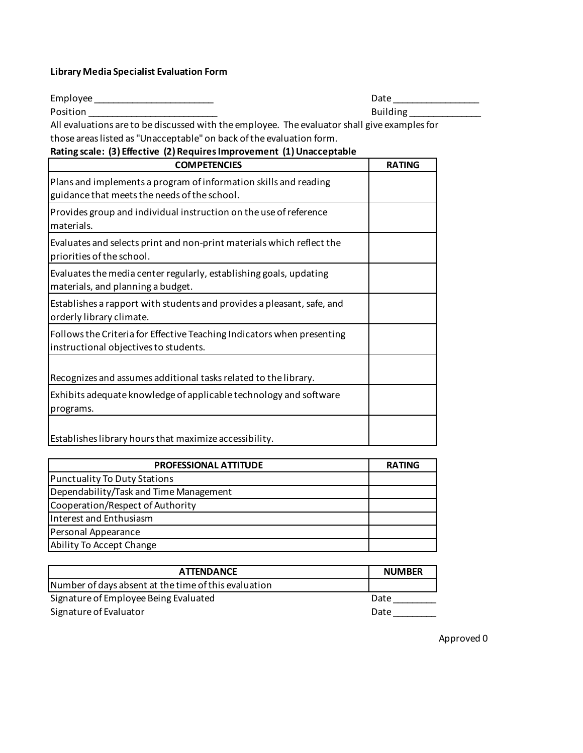### **Library Media Specialist Evaluation Form**

| Employee                                                                                     | Date            |
|----------------------------------------------------------------------------------------------|-----------------|
| Position                                                                                     | <b>Building</b> |
| nil qualiptions ara to be discussed with the employee. The evaluator shall give examples for |                 |

All evaluations are to be discussed with the employee. The evaluator shall give examples for those areas listed as "Unacceptable" on back of the evaluation form. **Rating scale: (3) Effective (2) Requires Improvement (1) Unacceptable**

| <b>COMPETENCIES</b>                                                                                              | <b>RATING</b> |
|------------------------------------------------------------------------------------------------------------------|---------------|
| Plans and implements a program of information skills and reading<br>guidance that meets the needs of the school. |               |
| Provides group and individual instruction on the use of reference<br>materials.                                  |               |
| Evaluates and selects print and non-print materials which reflect the<br>priorities of the school.               |               |
| Evaluates the media center regularly, establishing goals, updating<br>materials, and planning a budget.          |               |
| Establishes a rapport with students and provides a pleasant, safe, and<br>orderly library climate.               |               |
| Follows the Criteria for Effective Teaching Indicators when presenting<br>instructional objectives to students.  |               |
| Recognizes and assumes additional tasks related to the library.                                                  |               |
| Exhibits adequate knowledge of applicable technology and software<br>programs.                                   |               |
| Establishes library hours that maximize accessibility.                                                           |               |

| <b>PROFESSIONAL ATTITUDE</b>           | <b>RATING</b> |
|----------------------------------------|---------------|
| Punctuality To Duty Stations           |               |
| Dependability/Task and Time Management |               |
| Cooperation/Respect of Authority       |               |
| Interest and Enthusiasm                |               |
| Personal Appearance                    |               |
| Ability To Accept Change               |               |

| <b>ATTENDANCE</b>                                    | <b>NUMBER</b> |
|------------------------------------------------------|---------------|
| Number of days absent at the time of this evaluation |               |
| Signature of Employee Being Evaluated                | Date          |
| Signature of Evaluator                               | Date          |
|                                                      |               |

Approved 0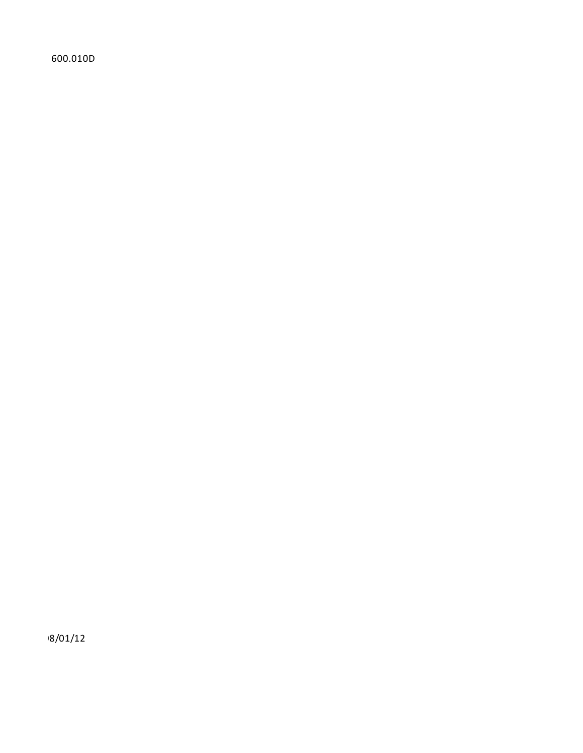600.010D

 $8/01/12$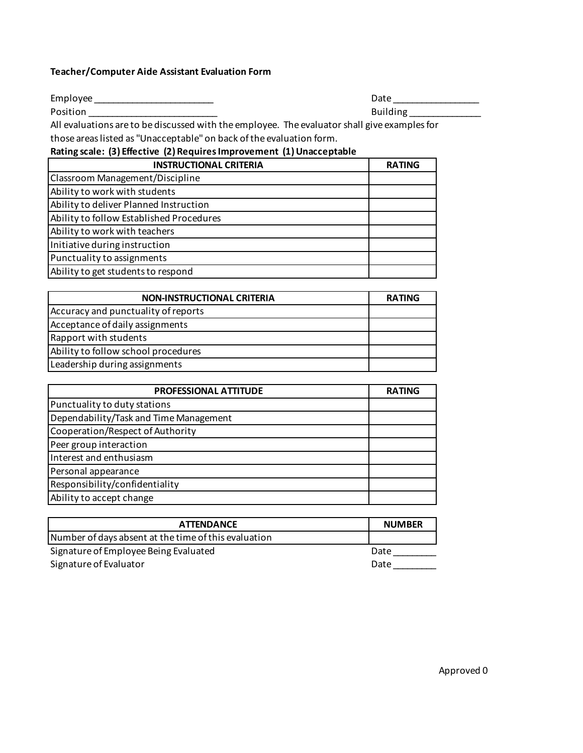### **Teacher/Computer Aide Assistant Evaluation Form**

| Employee |  |
|----------|--|
|----------|--|

Employee \_\_\_\_\_\_\_\_\_\_\_\_\_\_\_\_\_\_\_\_\_\_\_\_\_ Date \_\_\_\_\_\_\_\_\_\_\_\_\_\_\_\_\_\_ Position \_\_\_\_\_\_\_\_\_\_\_\_\_\_\_\_\_\_\_\_\_\_\_\_\_\_\_ Building \_\_\_\_\_\_\_\_\_\_\_\_\_\_\_

All evaluations are to be discussed with the employee. The evaluator shall give examples for those areas listed as "Unacceptable" on back of the evaluation form.

**Rating scale: (3) Effective (2) Requires Improvement (1) Unacceptable**

| <b>INSTRUCTIONAL CRITERIA</b>            | <b>RATING</b> |
|------------------------------------------|---------------|
| Classroom Management/Discipline          |               |
| Ability to work with students            |               |
| Ability to deliver Planned Instruction   |               |
| Ability to follow Established Procedures |               |
| Ability to work with teachers            |               |
| Initiative during instruction            |               |
| Punctuality to assignments               |               |
| Ability to get students to respond       |               |

| <b>NON-INSTRUCTIONAL CRITERIA</b>   | <b>RATING</b> |
|-------------------------------------|---------------|
| Accuracy and punctuality of reports |               |
| Acceptance of daily assignments     |               |
| Rapport with students               |               |
| Ability to follow school procedures |               |
| Leadership during assignments       |               |

| PROFESSIONAL ATTITUDE                  | <b>RATING</b> |
|----------------------------------------|---------------|
| Punctuality to duty stations           |               |
| Dependability/Task and Time Management |               |
| Cooperation/Respect of Authority       |               |
| Peer group interaction                 |               |
| Interest and enthusiasm                |               |
| Personal appearance                    |               |
| Responsibility/confidentiality         |               |
| Ability to accept change               |               |

| <b>ATTENDANCE</b>                                    | <b>NUMBER</b> |
|------------------------------------------------------|---------------|
| Number of days absent at the time of this evaluation |               |
| Signature of Employee Being Evaluated                | Date          |
| Signature of Evaluator                               | Date          |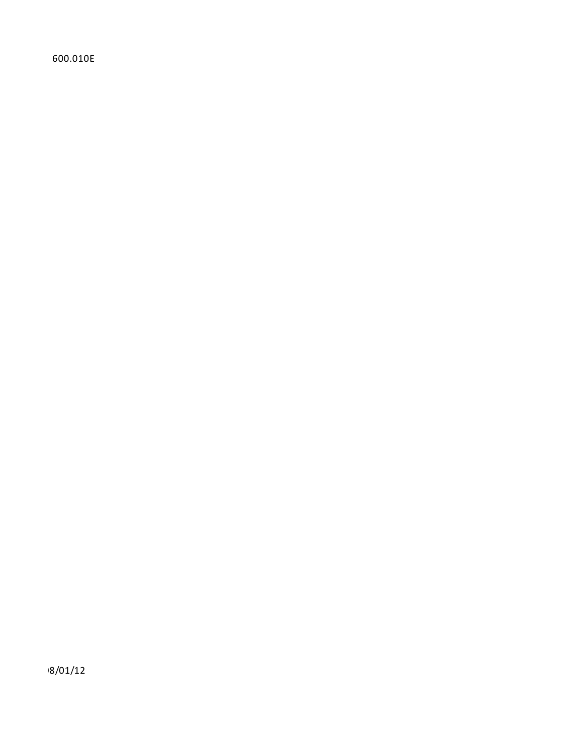600.010E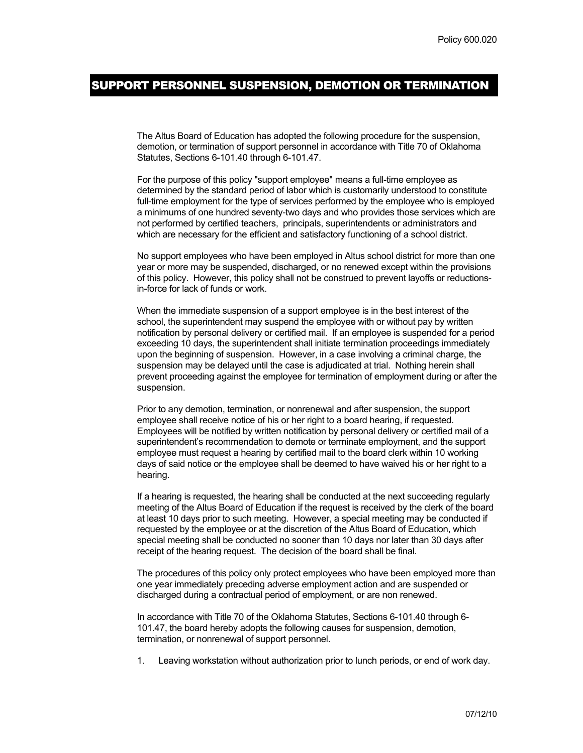### SUPPORT PERSONNEL SUSPENSION, DEMOTION OR TERMINATION

The Altus Board of Education has adopted the following procedure for the suspension, demotion, or termination of support personnel in accordance with Title 70 of Oklahoma Statutes, Sections 6-101.40 through 6-101.47.

For the purpose of this policy "support employee" means a full-time employee as determined by the standard period of labor which is customarily understood to constitute full-time employment for the type of services performed by the employee who is employed a minimums of one hundred seventy-two days and who provides those services which are not performed by certified teachers, principals, superintendents or administrators and which are necessary for the efficient and satisfactory functioning of a school district.

No support employees who have been employed in Altus school district for more than one year or more may be suspended, discharged, or no renewed except within the provisions of this policy. However, this policy shall not be construed to prevent layoffs or reductionsin-force for lack of funds or work.

When the immediate suspension of a support employee is in the best interest of the school, the superintendent may suspend the employee with or without pay by written notification by personal delivery or certified mail. If an employee is suspended for a period exceeding 10 days, the superintendent shall initiate termination proceedings immediately upon the beginning of suspension. However, in a case involving a criminal charge, the suspension may be delayed until the case is adjudicated at trial. Nothing herein shall prevent proceeding against the employee for termination of employment during or after the suspension.

Prior to any demotion, termination, or nonrenewal and after suspension, the support employee shall receive notice of his or her right to a board hearing, if requested. Employees will be notified by written notification by personal delivery or certified mail of a superintendent's recommendation to demote or terminate employment, and the support employee must request a hearing by certified mail to the board clerk within 10 working days of said notice or the employee shall be deemed to have waived his or her right to a hearing.

If a hearing is requested, the hearing shall be conducted at the next succeeding regularly meeting of the Altus Board of Education if the request is received by the clerk of the board at least 10 days prior to such meeting. However, a special meeting may be conducted if requested by the employee or at the discretion of the Altus Board of Education, which special meeting shall be conducted no sooner than 10 days nor later than 30 days after receipt of the hearing request. The decision of the board shall be final.

The procedures of this policy only protect employees who have been employed more than one year immediately preceding adverse employment action and are suspended or discharged during a contractual period of employment, or are non renewed.

In accordance with Title 70 of the Oklahoma Statutes, Sections 6-101.40 through 6- 101.47, the board hereby adopts the following causes for suspension, demotion, termination, or nonrenewal of support personnel.

1. Leaving workstation without authorization prior to lunch periods, or end of work day.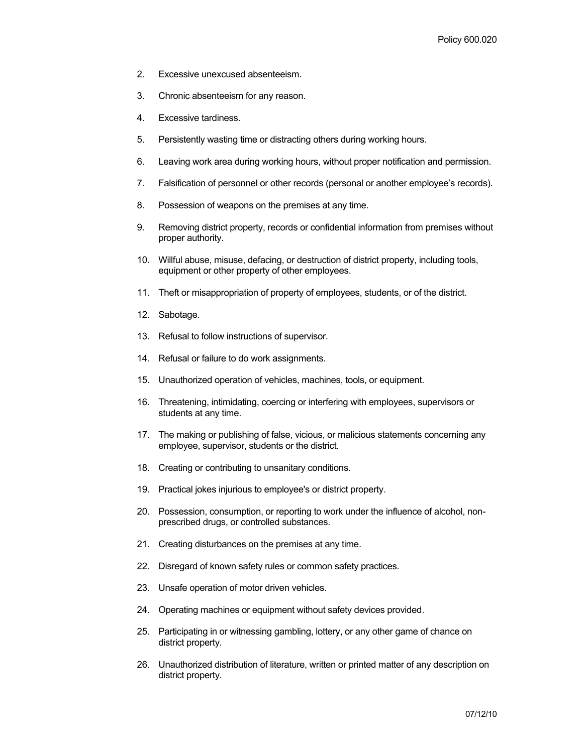- 2. Excessive unexcused absenteeism.
- 3. Chronic absenteeism for any reason.
- 4. Excessive tardiness.
- 5. Persistently wasting time or distracting others during working hours.
- 6. Leaving work area during working hours, without proper notification and permission.
- 7. Falsification of personnel or other records (personal or another employee's records).
- 8. Possession of weapons on the premises at any time.
- 9. Removing district property, records or confidential information from premises without proper authority.
- 10. Willful abuse, misuse, defacing, or destruction of district property, including tools, equipment or other property of other employees.
- 11. Theft or misappropriation of property of employees, students, or of the district.
- 12. Sabotage.
- 13. Refusal to follow instructions of supervisor.
- 14. Refusal or failure to do work assignments.
- 15. Unauthorized operation of vehicles, machines, tools, or equipment.
- 16. Threatening, intimidating, coercing or interfering with employees, supervisors or students at any time.
- 17. The making or publishing of false, vicious, or malicious statements concerning any employee, supervisor, students or the district.
- 18. Creating or contributing to unsanitary conditions.
- 19. Practical jokes injurious to employee's or district property.
- 20. Possession, consumption, or reporting to work under the influence of alcohol, nonprescribed drugs, or controlled substances.
- 21. Creating disturbances on the premises at any time.
- 22. Disregard of known safety rules or common safety practices.
- 23. Unsafe operation of motor driven vehicles.
- 24. Operating machines or equipment without safety devices provided.
- 25. Participating in or witnessing gambling, lottery, or any other game of chance on district property.
- 26. Unauthorized distribution of literature, written or printed matter of any description on district property.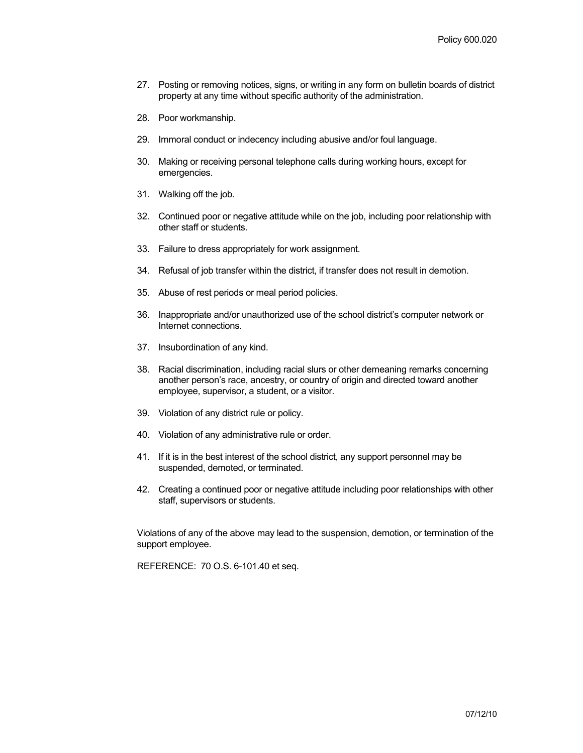- 27. Posting or removing notices, signs, or writing in any form on bulletin boards of district property at any time without specific authority of the administration.
- 28. Poor workmanship.
- 29. Immoral conduct or indecency including abusive and/or foul language.
- 30. Making or receiving personal telephone calls during working hours, except for emergencies.
- 31. Walking off the job.
- 32. Continued poor or negative attitude while on the job, including poor relationship with other staff or students.
- 33. Failure to dress appropriately for work assignment.
- 34. Refusal of job transfer within the district, if transfer does not result in demotion.
- 35. Abuse of rest periods or meal period policies.
- 36. Inappropriate and/or unauthorized use of the school district's computer network or Internet connections.
- 37. Insubordination of any kind.
- 38. Racial discrimination, including racial slurs or other demeaning remarks concerning another person's race, ancestry, or country of origin and directed toward another employee, supervisor, a student, or a visitor.
- 39. Violation of any district rule or policy.
- 40. Violation of any administrative rule or order.
- 41. If it is in the best interest of the school district, any support personnel may be suspended, demoted, or terminated.
- 42. Creating a continued poor or negative attitude including poor relationships with other staff, supervisors or students.

Violations of any of the above may lead to the suspension, demotion, or termination of the support employee.

REFERENCE: 70 O.S. 6-101.40 et seq.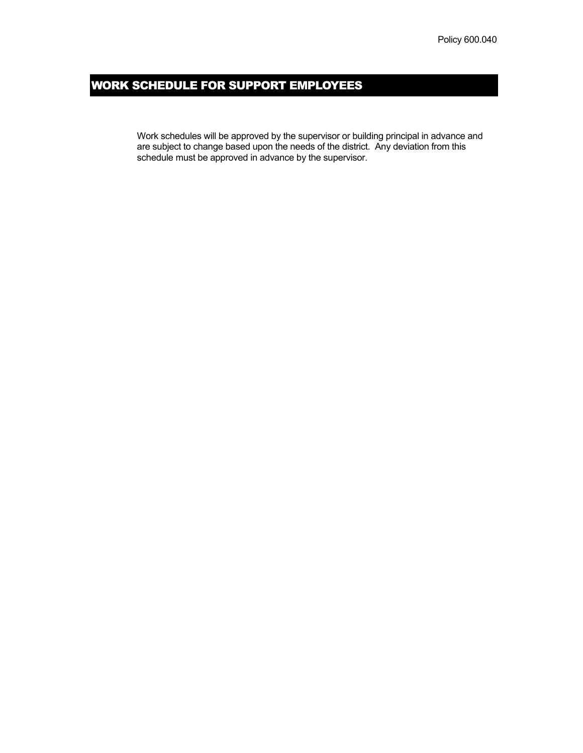# WORK SCHEDULE FOR SUPPORT EMPLOYEES

Work schedules will be approved by the supervisor or building principal in advance and are subject to change based upon the needs of the district. Any deviation from this schedule must be approved in advance by the supervisor.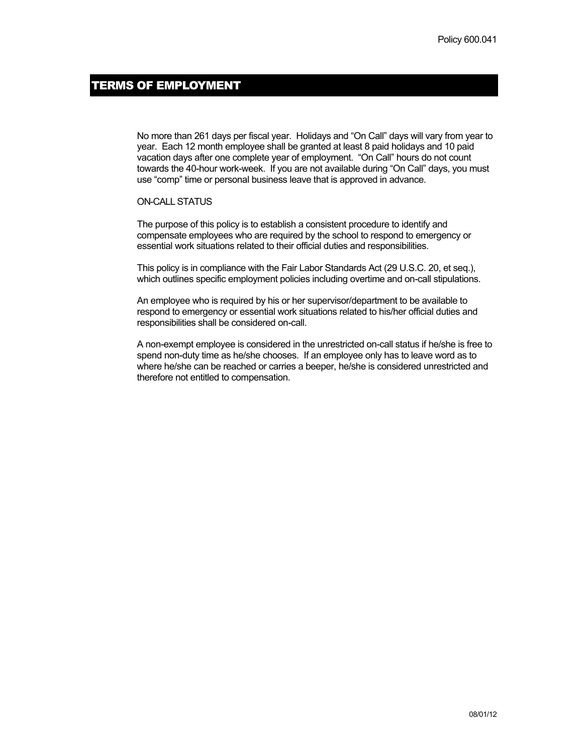### TERMS OF EMPLOYMENT

No more than 261 days per fiscal year. Holidays and "On Call" days will vary from year to year. Each 12 month employee shall be granted at least 8 paid holidays and 10 paid vacation days after one complete year of employment. "On Call" hours do not count towards the 40-hour work-week. If you are not available during "On Call" days, you must use "comp" time or personal business leave that is approved in advance.

#### ON-CALL STATUS

The purpose of this policy is to establish a consistent procedure to identify and compensate employees who are required by the school to respond to emergency or essential work situations related to their official duties and responsibilities.

This policy is in compliance with the Fair Labor Standards Act (29 U.S.C. 20, et seq.), which outlines specific employment policies including overtime and on-call stipulations.

An employee who is required by his or her supervisor/department to be available to respond to emergency or essential work situations related to his/her official duties and responsibilities shall be considered on-call.

A non-exempt employee is considered in the unrestricted on-call status if he/she is free to spend non-duty time as he/she chooses. If an employee only has to leave word as to where he/she can be reached or carries a beeper, he/she is considered unrestricted and therefore not entitled to compensation.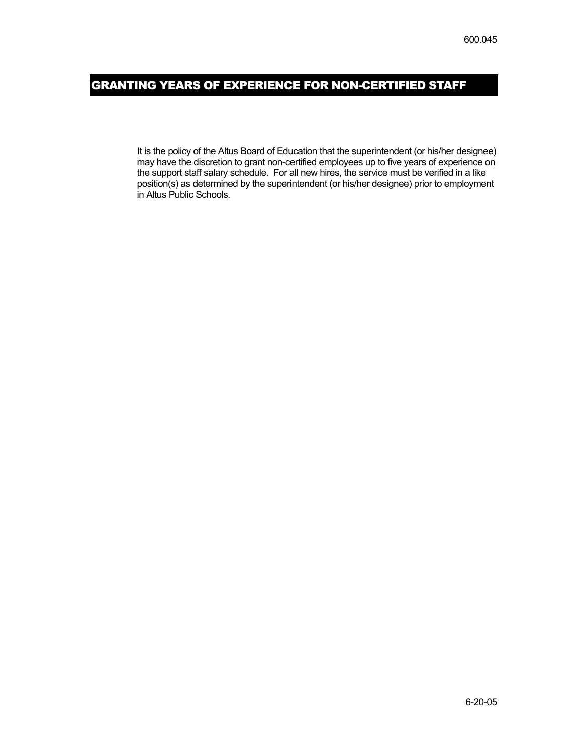# GRANTING YEARS OF EXPERIENCE FOR NON-CERTIFIED STAFF

It is the policy of the Altus Board of Education that the superintendent (or his/her designee) may have the discretion to grant non-certified employees up to five years of experience on the support staff salary schedule. For all new hires, the service must be verified in a like position(s) as determined by the superintendent (or his/her designee) prior to employment in Altus Public Schools.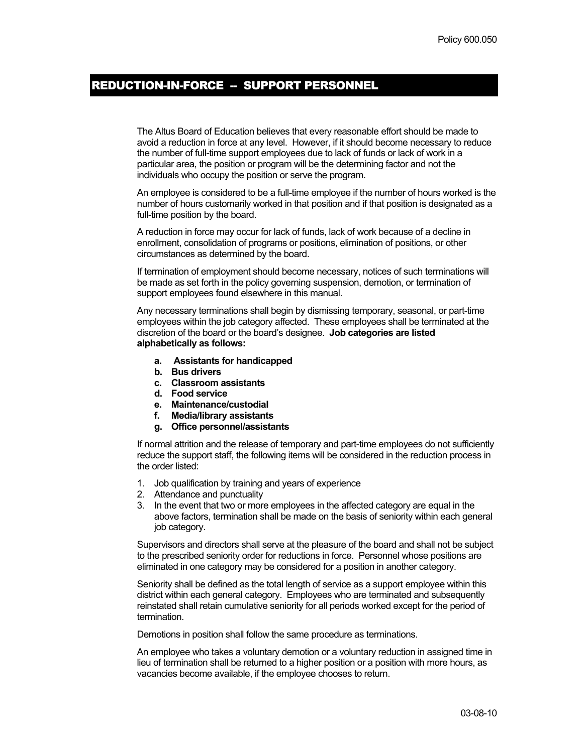### REDUCTION-IN-FORCE -- SUPPORT PERSONNEL

The Altus Board of Education believes that every reasonable effort should be made to avoid a reduction in force at any level. However, if it should become necessary to reduce the number of full-time support employees due to lack of funds or lack of work in a particular area, the position or program will be the determining factor and not the individuals who occupy the position or serve the program.

An employee is considered to be a full-time employee if the number of hours worked is the number of hours customarily worked in that position and if that position is designated as a full-time position by the board.

A reduction in force may occur for lack of funds, lack of work because of a decline in enrollment, consolidation of programs or positions, elimination of positions, or other circumstances as determined by the board.

If termination of employment should become necessary, notices of such terminations will be made as set forth in the policy governing suspension, demotion, or termination of support employees found elsewhere in this manual.

Any necessary terminations shall begin by dismissing temporary, seasonal, or part-time employees within the job category affected. These employees shall be terminated at the discretion of the board or the board's designee. **Job categories are listed alphabetically as follows:**

- **a. Assistants for handicapped**
- **b. Bus drivers**
- **c. Classroom assistants**
- **d. Food service**
- **e. Maintenance/custodial**
- **f. Media/library assistants**
- **g. Office personnel/assistants**

If normal attrition and the release of temporary and part-time employees do not sufficiently reduce the support staff, the following items will be considered in the reduction process in the order listed:

- 1. Job qualification by training and years of experience
- 2. Attendance and punctuality
- 3. In the event that two or more employees in the affected category are equal in the above factors, termination shall be made on the basis of seniority within each general job category.

Supervisors and directors shall serve at the pleasure of the board and shall not be subject to the prescribed seniority order for reductions in force. Personnel whose positions are eliminated in one category may be considered for a position in another category.

Seniority shall be defined as the total length of service as a support employee within this district within each general category. Employees who are terminated and subsequently reinstated shall retain cumulative seniority for all periods worked except for the period of termination.

Demotions in position shall follow the same procedure as terminations.

An employee who takes a voluntary demotion or a voluntary reduction in assigned time in lieu of termination shall be returned to a higher position or a position with more hours, as vacancies become available, if the employee chooses to return.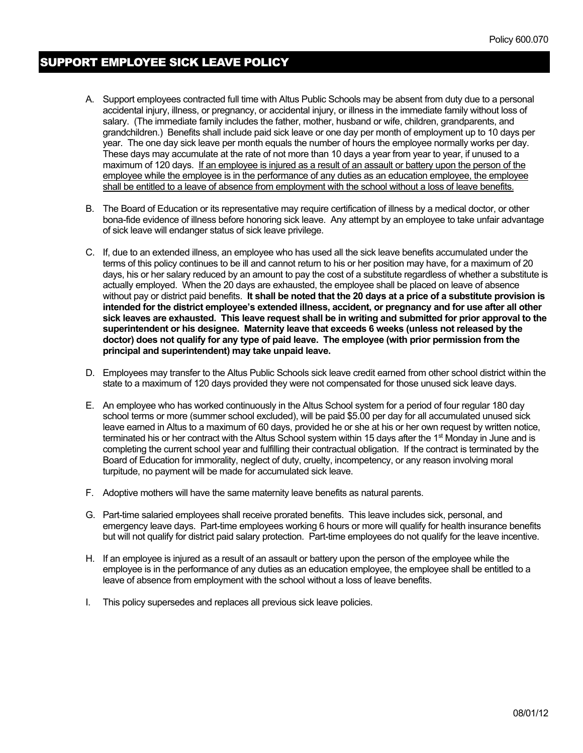### SUPPORT EMPLOYEE SICK LEAVE POLICY

- A. Support employees contracted full time with Altus Public Schools may be absent from duty due to a personal accidental injury, illness, or pregnancy, or accidental injury, or illness in the immediate family without loss of salary. (The immediate family includes the father, mother, husband or wife, children, grandparents, and grandchildren.) Benefits shall include paid sick leave or one day per month of employment up to 10 days per year. The one day sick leave per month equals the number of hours the employee normally works per day. These days may accumulate at the rate of not more than 10 days a year from year to year, if unused to a maximum of 120 days. If an employee is injured as a result of an assault or battery upon the person of the employee while the employee is in the performance of any duties as an education employee, the employee shall be entitled to a leave of absence from employment with the school without a loss of leave benefits.
- B. The Board of Education or its representative may require certification of illness by a medical doctor, or other bona-fide evidence of illness before honoring sick leave. Any attempt by an employee to take unfair advantage of sick leave will endanger status of sick leave privilege.
- C. If, due to an extended illness, an employee who has used all the sick leave benefits accumulated under the terms of this policy continues to be ill and cannot return to his or her position may have, for a maximum of 20 days, his or her salary reduced by an amount to pay the cost of a substitute regardless of whether a substitute is actually employed. When the 20 days are exhausted, the employee shall be placed on leave of absence without pay or district paid benefits. **It shall be noted that the 20 days at a price of a substitute provision is intended for the district employee's extended illness, accident, or pregnancy and for use after all other sick leaves are exhausted. This leave request shall be in writing and submitted for prior approval to the superintendent or his designee. Maternity leave that exceeds 6 weeks (unless not released by the doctor) does not qualify for any type of paid leave. The employee (with prior permission from the principal and superintendent) may take unpaid leave.**
- D. Employees may transfer to the Altus Public Schools sick leave credit earned from other school district within the state to a maximum of 120 days provided they were not compensated for those unused sick leave days.
- E. An employee who has worked continuously in the Altus School system for a period of four regular 180 day school terms or more (summer school excluded), will be paid \$5.00 per day for all accumulated unused sick leave earned in Altus to a maximum of 60 days, provided he or she at his or her own request by written notice, terminated his or her contract with the Altus School system within 15 days after the 1<sup>st</sup> Monday in June and is completing the current school year and fulfilling their contractual obligation. If the contract is terminated by the Board of Education for immorality, neglect of duty, cruelty, incompetency, or any reason involving moral turpitude, no payment will be made for accumulated sick leave.
- F. Adoptive mothers will have the same maternity leave benefits as natural parents.
- G. Part-time salaried employees shall receive prorated benefits. This leave includes sick, personal, and emergency leave days. Part-time employees working 6 hours or more will qualify for health insurance benefits but will not qualify for district paid salary protection. Part-time employees do not qualify for the leave incentive.
- H. If an employee is injured as a result of an assault or battery upon the person of the employee while the employee is in the performance of any duties as an education employee, the employee shall be entitled to a leave of absence from employment with the school without a loss of leave benefits.
- I. This policy supersedes and replaces all previous sick leave policies.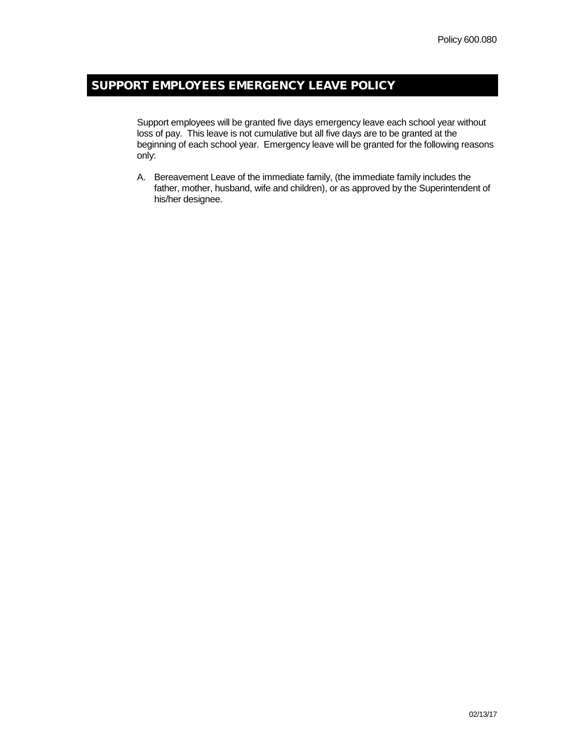# SUPPORT EMPLOYEES EMERGENCY LEAVE POLICY

Support employees will be granted five days emergency leave each school year without loss of pay. This leave is not cumulative but all five days are to be granted at the beginning of each school year. Emergency leave will be granted for the following reasons only:

A. Bereavement Leave of the immediate family, (the immediate family includes the father, mother, husband, wife and children), or as approved by the Superintendent of his/her designee.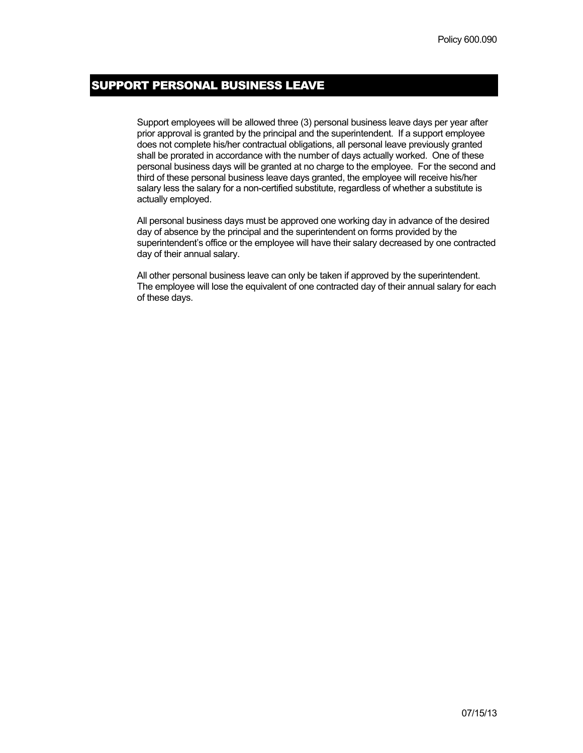### SUPPORT PERSONAL BUSINESS LEAVE

Support employees will be allowed three (3) personal business leave days per year after prior approval is granted by the principal and the superintendent. If a support employee does not complete his/her contractual obligations, all personal leave previously granted shall be prorated in accordance with the number of days actually worked. One of these personal business days will be granted at no charge to the employee. For the second and third of these personal business leave days granted, the employee will receive his/her salary less the salary for a non-certified substitute, regardless of whether a substitute is actually employed.

All personal business days must be approved one working day in advance of the desired day of absence by the principal and the superintendent on forms provided by the superintendent's office or the employee will have their salary decreased by one contracted day of their annual salary.

All other personal business leave can only be taken if approved by the superintendent. The employee will lose the equivalent of one contracted day of their annual salary for each of these days.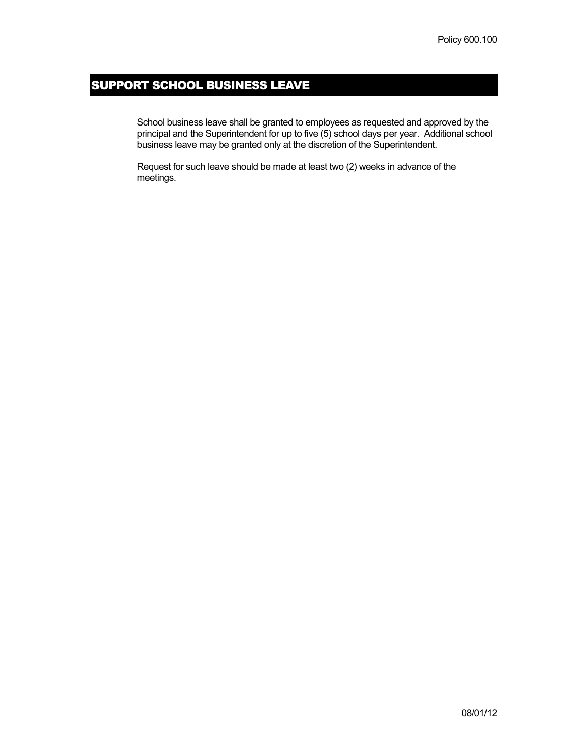# SUPPORT SCHOOL BUSINESS LEAVE

School business leave shall be granted to employees as requested and approved by the principal and the Superintendent for up to five (5) school days per year. Additional school business leave may be granted only at the discretion of the Superintendent.

Request for such leave should be made at least two (2) weeks in advance of the meetings.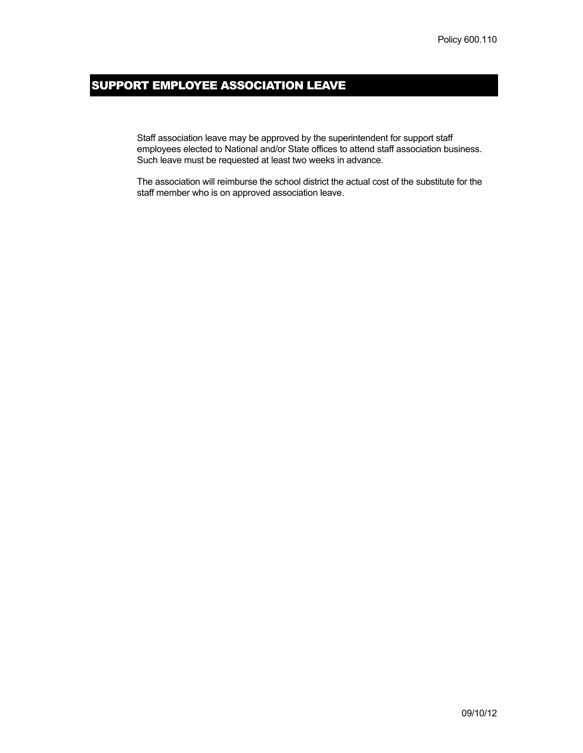# SUPPORT EMPLOYEE ASSOCIATION LEAVE

Staff association leave may be approved by the superintendent for support staff employees elected to National and/or State offices to attend staff association business. Such leave must be requested at least two weeks in advance.

The association will reimburse the school district the actual cost of the substitute for the staff member who is on approved association leave.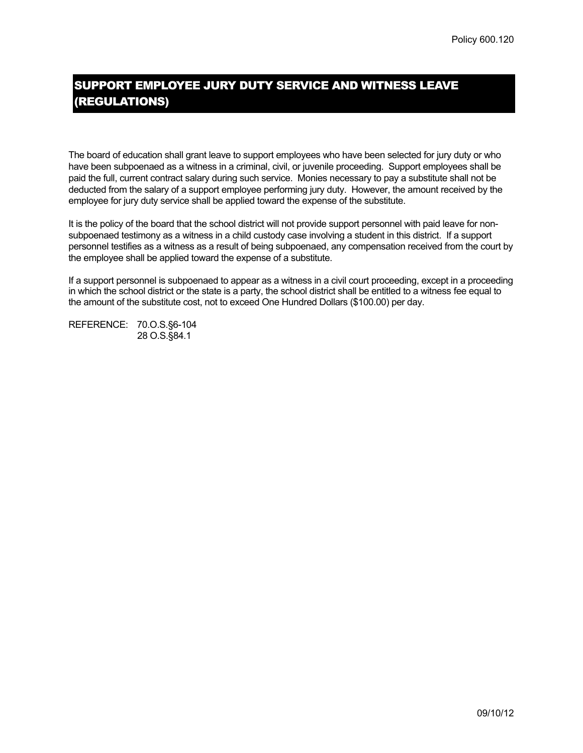### SUPPORT EMPLOYEE JURY DUTY SERVICE AND WITNESS LEAVE (REGULATIONS)

The board of education shall grant leave to support employees who have been selected for jury duty or who have been subpoenaed as a witness in a criminal, civil, or juvenile proceeding. Support employees shall be paid the full, current contract salary during such service. Monies necessary to pay a substitute shall not be deducted from the salary of a support employee performing jury duty. However, the amount received by the employee for jury duty service shall be applied toward the expense of the substitute.

It is the policy of the board that the school district will not provide support personnel with paid leave for nonsubpoenaed testimony as a witness in a child custody case involving a student in this district. If a support personnel testifies as a witness as a result of being subpoenaed, any compensation received from the court by the employee shall be applied toward the expense of a substitute.

If a support personnel is subpoenaed to appear as a witness in a civil court proceeding, except in a proceeding in which the school district or the state is a party, the school district shall be entitled to a witness fee equal to the amount of the substitute cost, not to exceed One Hundred Dollars (\$100.00) per day.

REFERENCE: 70.O.S.§6-104 28 O.S.§84.1